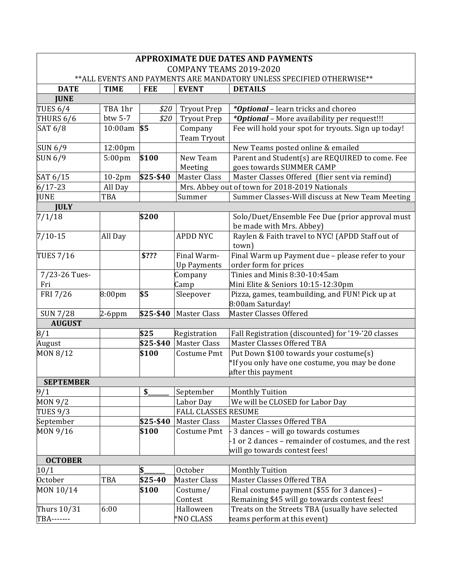| <b>APPROXIMATE DUE DATES AND PAYMENTS</b>                             |                    |                  |                            |                                                      |  |  |  |  |
|-----------------------------------------------------------------------|--------------------|------------------|----------------------------|------------------------------------------------------|--|--|--|--|
| COMPANY TEAMS 2019-2020                                               |                    |                  |                            |                                                      |  |  |  |  |
| ** ALL EVENTS AND PAYMENTS ARE MANDATORY UNLESS SPECIFIED OTHERWISE** |                    |                  |                            |                                                      |  |  |  |  |
| <b>DATE</b>                                                           | <b>TIME</b>        | <b>FEE</b>       | <b>EVENT</b>               | <b>DETAILS</b>                                       |  |  |  |  |
| <b>JUNE</b>                                                           |                    |                  |                            |                                                      |  |  |  |  |
| <b>TUES 6/4</b>                                                       | TBA 1hr            | \$20             | <b>Tryout Prep</b>         | <i>*Optional</i> – learn tricks and choreo           |  |  |  |  |
| THURS 6/6                                                             | btw 5-7            | \$20             | <b>Tryout Prep</b>         | *Optional - More availability per request!!!         |  |  |  |  |
| SAT 6/8                                                               | 10:00am            | \$5              | Company                    | Fee will hold your spot for tryouts. Sign up today!  |  |  |  |  |
|                                                                       |                    |                  | Team Tryout                |                                                      |  |  |  |  |
| <b>SUN 6/9</b>                                                        | 12:00pm            |                  |                            | New Teams posted online & emailed                    |  |  |  |  |
| SUN 6/9                                                               | 5:00 <sub>pm</sub> | \$100            | New Team                   | Parent and Student(s) are REQUIRED to come. Fee      |  |  |  |  |
|                                                                       |                    |                  | Meeting                    | goes towards SUMMER CAMP                             |  |  |  |  |
| SAT 6/15                                                              | $10-2pm$           | $\sqrt{$25-$40}$ | Master Class               | Master Classes Offered (flier sent via remind)       |  |  |  |  |
| $6/17 - 23$                                                           | All Day            |                  |                            | Mrs. Abbey out of town for 2018-2019 Nationals       |  |  |  |  |
| <b>JUNE</b>                                                           | TBA                |                  | Summer                     | Summer Classes-Will discuss at New Team Meeting      |  |  |  |  |
| <b>JULY</b>                                                           |                    |                  |                            |                                                      |  |  |  |  |
| 7/1/18                                                                |                    | \$200            |                            | Solo/Duet/Ensemble Fee Due (prior approval must      |  |  |  |  |
|                                                                       |                    |                  |                            | be made with Mrs. Abbey)                             |  |  |  |  |
| $7/10-15$                                                             | All Day            |                  | <b>APDD NYC</b>            | Raylen & Faith travel to NYC! (APDD Staff out of     |  |  |  |  |
|                                                                       |                    |                  |                            | town)                                                |  |  |  |  |
| <b>TUES 7/16</b>                                                      |                    | \$???            | Final Warm-                | Final Warm up Payment due - please refer to your     |  |  |  |  |
|                                                                       |                    |                  | <b>Up Payments</b>         | order form for prices                                |  |  |  |  |
| 7/23-26 Tues-                                                         |                    |                  | Company                    | Tinies and Minis 8:30-10:45am                        |  |  |  |  |
| Fri                                                                   |                    |                  | Camp                       | Mini Elite & Seniors 10:15-12:30pm                   |  |  |  |  |
| FRI 7/26                                                              | 8:00 <sub>pm</sub> | \$5              | Sleepover                  | Pizza, games, teambuilding, and FUN! Pick up at      |  |  |  |  |
|                                                                       |                    |                  |                            | 8:00am Saturday!                                     |  |  |  |  |
| <b>SUN 7/28</b>                                                       | $2-6$ ppm          | \$25-\$40        | Master Class               | <b>Master Classes Offered</b>                        |  |  |  |  |
| <b>AUGUST</b>                                                         |                    |                  |                            |                                                      |  |  |  |  |
| 8/1                                                                   |                    | \$25             | Registration               | Fall Registration (discounted) for '19-'20 classes   |  |  |  |  |
| August                                                                |                    | \$25-\$40        | <b>Master Class</b>        | Master Classes Offered TBA                           |  |  |  |  |
| MON 8/12                                                              |                    | \$100            | Costume Pmt                | Put Down \$100 towards your costume(s)               |  |  |  |  |
|                                                                       |                    |                  |                            | *If you only have one costume, you may be done       |  |  |  |  |
|                                                                       |                    |                  |                            | after this payment                                   |  |  |  |  |
| <b>SEPTEMBER</b>                                                      |                    |                  |                            |                                                      |  |  |  |  |
| $\overline{9/1}$                                                      |                    | \$               | September                  | <b>Monthly Tuition</b>                               |  |  |  |  |
| MON 9/2                                                               |                    |                  | Labor Day                  | We will be CLOSED for Labor Day                      |  |  |  |  |
| <b>TUES 9/3</b>                                                       |                    |                  | <b>FALL CLASSES RESUME</b> |                                                      |  |  |  |  |
| September                                                             |                    | \$25-\$40        | <b>Master Class</b>        | Master Classes Offered TBA                           |  |  |  |  |
| MON 9/16                                                              |                    | \$100            | Costume Pmt                | 3 dances - will go towards costumes                  |  |  |  |  |
|                                                                       |                    |                  |                            | -1 or 2 dances - remainder of costumes, and the rest |  |  |  |  |
|                                                                       |                    |                  |                            | will go towards contest fees!                        |  |  |  |  |
| <b>OCTOBER</b>                                                        |                    |                  |                            |                                                      |  |  |  |  |
| 10/1                                                                  |                    | \$.              | October                    | <b>Monthly Tuition</b>                               |  |  |  |  |
| <b>October</b>                                                        | TBA                | \$25-40          | <b>Master Class</b>        | Master Classes Offered TBA                           |  |  |  |  |
| MON 10/14                                                             |                    | \$100            | Costume/                   | Final costume payment (\$55 for 3 dances) -          |  |  |  |  |
|                                                                       |                    |                  | Contest                    | Remaining \$45 will go towards contest fees!         |  |  |  |  |
| Thurs 10/31                                                           | 6:00               |                  | Halloween                  | Treats on the Streets TBA (usually have selected     |  |  |  |  |
| <b>TBA-------</b>                                                     |                    |                  | *NO CLASS                  | teams perform at this event)                         |  |  |  |  |